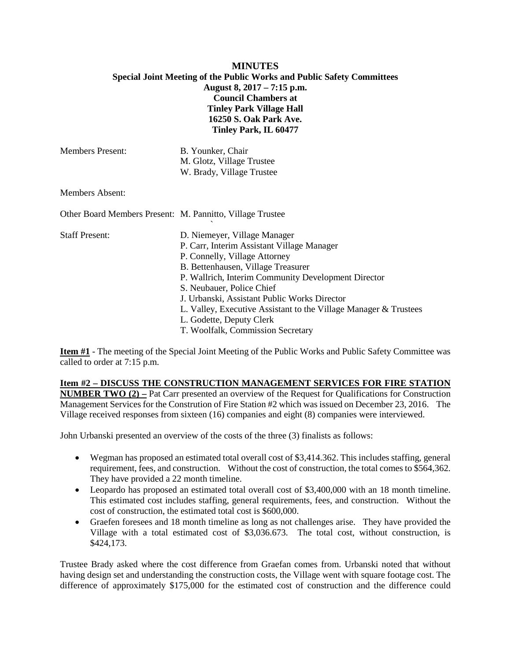# **MINUTES Special Joint Meeting of the Public Works and Public Safety Committees August 8, 2017 – 7:15 p.m. Council Chambers at Tinley Park Village Hall 16250 S. Oak Park Ave. Tinley Park, IL 60477**

| <b>Members Present:</b>                                   | B. Younker, Chair                                                |
|-----------------------------------------------------------|------------------------------------------------------------------|
|                                                           | M. Glotz, Village Trustee                                        |
|                                                           | W. Brady, Village Trustee                                        |
| <b>Members Absent:</b>                                    |                                                                  |
| Other Board Members Present: M. Pannitto, Village Trustee |                                                                  |
| <b>Staff Present:</b>                                     | D. Niemeyer, Village Manager                                     |
|                                                           | P. Carr, Interim Assistant Village Manager                       |
|                                                           | P. Connelly, Village Attorney                                    |
|                                                           | B. Bettenhausen, Village Treasurer                               |
|                                                           | P. Wallrich, Interim Community Development Director              |
|                                                           | S. Neubauer, Police Chief                                        |
|                                                           | J. Urbanski, Assistant Public Works Director                     |
|                                                           | L. Valley, Executive Assistant to the Village Manager & Trustees |
|                                                           | L. Godette, Deputy Clerk                                         |
|                                                           | T. Woolfalk, Commission Secretary                                |

**Item #1** - The meeting of the Special Joint Meeting of the Public Works and Public Safety Committee was called to order at 7:15 p.m.

# **Item #2 – DISCUSS THE CONSTRUCTION MANAGEMENT SERVICES FOR FIRE STATION**

**NUMBER TWO (2) –** Pat Carr presented an overview of the Request for Qualifications for Construction Management Services for the Constrution of Fire Station #2 which was issued on December 23, 2016. The Village received responses from sixteen (16) companies and eight (8) companies were interviewed.

John Urbanski presented an overview of the costs of the three (3) finalists as follows:

- Wegman has proposed an estimated total overall cost of \$3,414.362. This includes staffing, general requirement, fees, and construction. Without the cost of construction, the total comes to \$564,362. They have provided a 22 month timeline.
- Leopardo has proposed an estimated total overall cost of \$3,400,000 with an 18 month timeline. This estimated cost includes staffing, general requirements, fees, and construction. Without the cost of construction, the estimated total cost is \$600,000.
- Graefen foresees and 18 month timeline as long as not challenges arise. They have provided the Village with a total estimated cost of \$3,036.673. The total cost, without construction, is \$424,173.

Trustee Brady asked where the cost difference from Graefan comes from. Urbanski noted that without having design set and understanding the construction costs, the Village went with square footage cost. The difference of approximately \$175,000 for the estimated cost of construction and the difference could